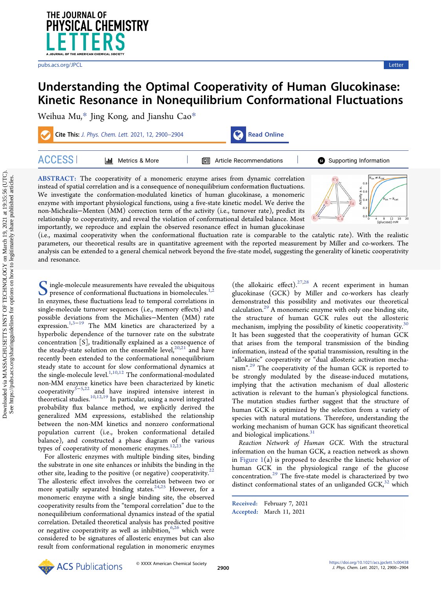

# Understanding the Optimal Cooperativity of Human Glucokinase: Kinetic Resonance in Nonequilibrium Conformational Fluctuations

[Weihua Mu,](https://pubs.acs.org/action/doSearch?field1=Contrib&text1="Weihua+Mu"&field2=AllField&text2=&publication=&accessType=allContent&Earliest=&ref=pdf)[\\*](#page-4-0) [Jing Kong,](https://pubs.acs.org/action/doSearch?field1=Contrib&text1="Jing+Kong"&field2=AllField&text2=&publication=&accessType=allContent&Earliest=&ref=pdf) [and Jianshu Cao](https://pubs.acs.org/action/doSearch?field1=Contrib&text1="Jianshu+Cao"&field2=AllField&text2=&publication=&accessType=allContent&Earliest=&ref=pdf)[\\*](#page-4-0)

Cite This: [J. Phys. Chem. Lett.](https://pubs.acs.org/action/showCitFormats?doi=10.1021/acs.jpclett.1c00438&ref=pdf) 2021, 12, 2900–2904 [Read Online](https://pubs.acs.org/doi/10.1021/acs.jpclett.1c00438?ref=pdf)



ACCESS [Metrics & More](https://pubs.acs.org/doi/10.1021/acs.jpclett.1c00438?goto=articleMetrics&ref=pdf) [Article Recommendations](https://pubs.acs.org/doi/10.1021/acs.jpclett.1c00438?goto=recommendations&?ref=pdf) \*s<sup>ı</sup> [Supporting Information](https://pubs.acs.org/doi/10.1021/acs.jpclett.1c00438?goto=supporting-info&ref=pdf)

ABSTRACT: The cooperativity of a monomeric enzyme arises from dynamic correlation instead of spatial correlation and is a consequence of nonequilibrium conformation fluctuations. We investigate the conformation-modulated kinetics of human glucokinase, a monomeric enzyme with important physiological functions, using a five-state kinetic model. We derive the non-Michealis−Menten (MM) correction term of the activity (i.e., turnover rate), predict its relationship to cooperativity, and reveal the violation of conformational detailed balance. Most importantly, we reproduce and explain the observed resonance effect in human glucokinase



(i.e., maximal cooperativity when the conformational fluctuation rate is comparable to the catalytic rate). With the realistic parameters, our theoretical results are in quantitative agreement with the reported measurement by Miller and co-workers. The analysis can be extended to a general chemical network beyond the five-state model, suggesting the generality of kinetic cooperativity and resonance.

Single-molecule measurements have revealed the ubiquit[ous](#page-4-0)<br>presence of conformational fluctuations in biomolecules.<sup>1,2</sup><br>In anzumes, these fluctuations load to temporal correlations in In enzymes, these fluctuations lead to temporal correlations in single-molecule turnover sequences (i.e., memory effects) and possible deviations from the Michalies−Menten (MM) rate expression.<sup>1,3−[19](#page-4-0)</sup> The MM kinetics are characterized by a hyperbolic dependence of the turnover rate on the substrate concentration [S], traditionally explained as a consequence of the steady-state solution on the ensemble level, $20,21$  $20,21$  $20,21$  and have recently been extended to the conformational nonequilibrium steady state to account for slow conformational dynamics at the single-molecule level. $^{1,10,12}$  $^{1,10,12}$  $^{1,10,12}$  $^{1,10,12}$  $^{1,10,12}$  The conformational-modulated non-MM enzyme kinetics have been characterized by kinetic cooperativity  $3-5,22$  and have inspired intensive interest in and have inspired intensive interest in theoretical studies. $10,12,19$  $10,12,19$  $10,12,19$  In particular, using a novel integrated probability flux balance method, we explicitly derived the generalized MM expressions, established the relationship between the non-MM kinetics and nonzero conformational population current (i.e., broken conformational detailed balance), and constructed a phase diagram of the various types of cooperativity of monomeric enzymes. $12,23$ 

For allosteric enzymes with multiple binding sites, binding the substrate in one site enhances or inhibits the binding in the other site, leading to the positive (or negative) cooperativity.<sup>22</sup> The allosteric effect involves the correlation between two or more spatially separated binding states.<sup>[24,25](#page-4-0)</sup> However, for a monomeric enzyme with a single binding site, the observed cooperativity results from the "temporal correlation" due to the nonequilibrium conformational dynamics instead of the spatial correlation. Detailed theoretical analysis has predicted positive or negative cooperativity as well as inhibition,  $6,26$  which were considered to be signatures of allosteric enzymes but can also result from conformational regulation in monomeric enzymes

(the allokairic effect).<sup>[27](#page-4-0),[28](#page-4-0)</sup> A recent experiment in human glucokinase (GCK) by Miller and co-workers has clearly demonstrated this possibility and motivates our theoretical calculation. $^{29}$  $^{29}$  $^{29}$  A monomeric enzyme with only one binding site, the structure of human GCK rules out the allosteric mechanism, implying the possibility of kinetic cooperativity.<sup>30</sup> It has been suggested that the cooperativity of human GCK that arises from the temporal transmission of the binding information, instead of the spatial transmission, resulting in the "allokairic" cooperativity or "dual allosteric activation mechanism". [29](#page-4-0) The cooperativity of the human GCK is reported to be strongly modulated by the disease-induced mutations, implying that the activation mechanism of dual allosteric activation is relevant to the human's physiological functions. The mutation studies further suggest that the structure of human GCK is optimized by the selection from a variety of species with natural mutations. Therefore, understanding the working mechanism of human GCK has significant theoretical and biological implications.<sup>[31](#page-4-0)</sup>

Reaction Network of Human GCK. With the structural information on the human GCK, a reaction network as shown in Figure  $1(a)$  is proposed to describe the kinetic behavior of human GCK in the physiological range of the glucose concentration. $29$  The five-state model is characterized by two distinct conformational states of an unliganded  $GCK<sub>1</sub><sup>32</sup>$  which

Received: February 7, 2021 Accepted: March 11, 2021

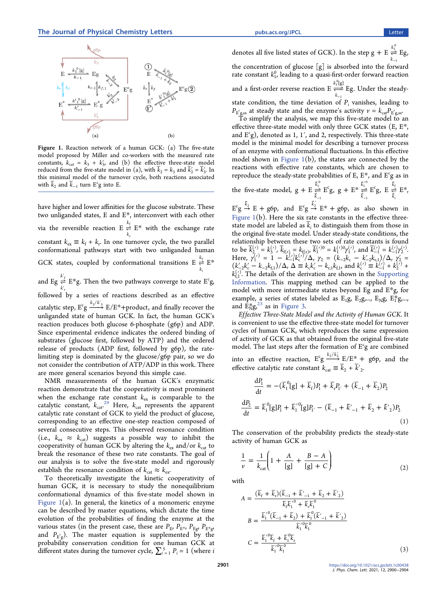<span id="page-1-0"></span>

Figure 1. Reaction network of a human GCK: (a) The five-state model proposed by Miller and co-workers with the measured rate constants,  $k_{\text{cat}} = k_3 + k'_3$ , and (b) the effective three-state model reduced from the five-state model in (a), with  $\overline{k}_2 = k_3$  and  $\overline{k}'_2 = \overline{k}'_3$ . In this minimal model of the turnover cycle, both reactions associated with  $\bar{k}_2$  and  $\bar{k}_{-1}$  turn  $E^c$ g into E.

have higher and lower affinities for the glucose substrate. These two unliganded states, E and E\*, interconvert with each other via the reversible reaction  $E \stackrel{k_f}{\rightleftharpoons} E^*$  with the exchange rate *k* r constant  $k_{ex} \equiv k_f + k_r$ . In one turnover cycle, the two parallel conformational pathways start with two unliganded human GCK states, coupled by conformational transitions  $E \underset{k_i}{\rightleftharpoons} E$  $\stackrel{k_f}{\rightleftharpoons} E^*$ i and Eg  $\underset{k'_r}{\rightleftharpoons}$  E<sup>\*</sup>g *k* r  $\stackrel{f}{=} E^*$  $\stackrel{k_f}{\rightleftharpoons} \mathrm{E}^*\mathrm{g}.$  Then the two pathways converge to state  $\mathrm{E}^\mathrm{c}\mathrm{g},$ followed by a series of reactions described as an effective catalytic step,  $\mathrm{E}^\mathrm{c}_\mathcal{B} \overset{k_3/k_3'}{\longrightarrow} \mathrm{E}/\mathrm{E}^*+$ product, and finally recover the unliganded state of human GCK. In fact, the human GCK's reaction produces both glucose 6-phosphate (g6p) and ADP. Since experimental evidence indicates the ordered binding of substrates (glucose first, followed by ATP) and the ordered release of products (ADP first, followed by g6p), the rate-

are more general scenarios beyond this simple case. NMR measurements of the human GCK's enzymatic reaction demonstrate that the cooperativity is most prominent when the exchange rate constant  $k_{ex}$  is comparable to the catalytic constant,  $k_{\text{cat}}^{29}$  $k_{\text{cat}}^{29}$  $k_{\text{cat}}^{29}$  Here,  $k_{\text{cat}}$  represents the apparent catalytic rate constant of GCK to yield the product of glucose, corresponding to an effective one-step reaction composed of several consecutive steps. This observed resonance condition (i.e.,  $k_{\text{ex}} \approx k_{\text{cat}}$ ) suggests a possible way to inhibit the cooperativity of human GCK by altering the  $k_{ex}$  and/or  $k_{cat}$  to break the resonance of these two rate constants. The goal of our analysis is to solve the five-state model and rigorously establish the resonance condition of  $k_{\text{cat}} \approx k_{\text{ex}}$ .

limiting step is dominated by the glucose/g6p pair, so we do not consider the contribution of ATP/ADP in this work. There

To theoretically investigate the kinetic cooperativity of human GCK, it is necessary to study the nonequilibrium conformational dynamics of this five-state model shown in Figure  $1(a)$ . In general, the kinetics of a monomeric enzyme can be described by master equations, which dictate the time evolution of the probabilities of finding the enzyme at the various states (in the present case, these are  $P_{\rm E}$ ,  $P_{\rm E}$ \*,  $P_{\rm E}$ <sub>g</sub>,  $P_{\rm E}$ \*<sub>g</sub>, and  $P_{\text{E}^{\text{c}}\text{g}}$ ). The master equation is supplemented by the probability conservation condition for one human GCK at different states during the turnover cycle,  $\sum_{i=1}^{5} P_i = 1$  (where *i* 

denotes all five listed states of GCK). In the step  $g + E \stackrel{k_1^0}{\rightleftharpoons} E g$ , *k* the concentration of glucose  $[g]$  is absorbed into the forward − rate constant  $k_1^0$ , leading to a quasi-first-order forward reaction and a first-order reverse reaction  $E \underset{k_{-1}}{\overset{\kappa_{11}}{\rightleftharpoons}} Eg$  $k_1$ <sup>u</sup>g 1  $\cdot_1^0$ [g] −  $\stackrel{\cdot}{\rightleftharpoons}$  Eg. Under the steadystate condition, the time deviation of  $P_i$  vanishes, leading to  $P_{\text{E}^{\text{c}}\text{g},\text{ss}}$  at steady state and the enzyme's activity  $v$  =  $k_{\text{cat}}P_{\text{E}^{\text{c}}\text{g},\text{ss}}.$ 

To simplify the analysis, we map this five-state model to an effective three-state model with only three GCK states (E, E\*, and  $E^c$ g), denoted as 1, 1', and 2, respectively. This three-state model is the minimal model for describing a turnover process of an enzyme with conformational fluctuations. In this effective model shown in Figure  $1(b)$ , the states are connected by the reactions with effective rate constants, which are chosen to reproduce the steady-state probabilities of E,  $E^*$ , and  $E^c$ g as in  $k_1 \rightarrow \mathbb{F}^c$  $\frac{1}{1}$  $k_1 \rightarrow \mathbf{F}^c$ +  $E^* \frac{\bar{k}_1^{'0}}{\pm}$ *k*

the five-state model,  $g + E \underset{\overline{k}_{-1}}{\overset{\kappa_1}{\rightleftharpoons}} E^c g$ 1 + −  $\Rightarrow E^{c}g$ , g +  $E^{*} \Rightarrow E^{c}g$ <br> $\overline{k}_{-1}$ 1 −  $\underset{\overline{k}_{-1}}{\overset{\rightharpoonup}{\rightleftharpoons}} E^c g$ ,  $E \underset{\overline{k}_r}{\overset{\rightharpoonup}{\rightleftharpoonup}} E$ r  $\stackrel{\scriptscriptstyle \kappa_{\rm f}}{\rightleftharpoons}E^*$ ,

 $E^c g \stackrel{\bar{k}_2}{\rightarrow} E + g6p$ , and  $E^c g \stackrel{\bar{k}_2'}{\rightarrow} E^* + g6p$ , as also shown in Figure 1(b). Here the six rate constants in the effective threestate model are labeled as  $k_i$  to distinguish them from those in the original five-state model. Under steady-state conditions, the relationship between these two sets of rate constants is found to be  $\overline{k}_{2}^{(\prime)} = k_3^{(\prime)}, \overline{k}_{f(r)} = k_{f(r)}$ ,  $\overline{k}_1^{(\prime)0} = k_1^{(\prime)0} \gamma_1^{(\prime)}$ , and  $\overline{k}_{-1}^{(\prime)} = k_{-1}^{(\prime)} \gamma_2^{(\prime)}$ . Here,  $\gamma_1^{(\prime)} = 1 - k_{-1}^{(\prime)} k_{c}^{(\prime)} / \Delta$ ,  $\gamma_2 = (k_{-2} k_{c} - k_{-2}^{(\prime)} k_{r,1}) / \Delta$ ,  $\gamma_2' =$  $(k'_{-2}k'_{c} - k_{-2}k_{f,1})/\Delta$ ,  $\Delta \equiv k_{c}k'_{c} - k_{r,1}k_{f,1}$ , and  $k_{c}^{(\prime)} \equiv k_{-1}^{(\prime)} + k_{2}^{(\prime)} + k_{-1}^{(\prime)}$  $k_{\text{f,1}}^{(\prime)}$ . The details of the derivation are shown in the [Supporting](http://pubs.acs.org/doi/suppl/10.1021/acs.jpclett.1c00438/suppl_file/jz1c00438_si_001.pdf) [Information](http://pubs.acs.org/doi/suppl/10.1021/acs.jpclett.1c00438/suppl_file/jz1c00438_si_001.pdf). This mapping method can be applied to the model with more intermediate states beyond Eg and E\*g, for example, a series of states labeled as  $E_1g$ ,  $E_2g$ ,...,  $E_Ng$ ,  $E_1^*g$ ,..., and  $\text{E}_{\text{NS}}^{*}$  as in [Figure 3](#page-3-0).

Effective Three-State Model and the Activity of Human GCK. It is convenient to use the effective three-state model for turnover cycles of human GCK, which reproduces the same expression of activity of GCK as that obtained from the original five-state model. The last steps after the formation of  $E^c g$  are combined into an effective reaction,  $E^c g \xrightarrow{k_2/k_2'} E/E^* + g6p$ , and the effective catalytic rate constant  $k_{\text{cat}} \equiv \overline{k}_2 + \overline{k'}_2$ .

$$
\frac{dP_1}{dt} = -(\bar{k}_1^0[g] + \bar{k}_f)P_1 + \bar{k}_r P_{1'} + (\bar{k}_{-1} + \bar{k}_2)P_2
$$
  

$$
\frac{dP_2}{dt} = \bar{k}_1^0[g]P_1 + \bar{k}_1'^0[g]P_{1'} - (\bar{k}_{-1} + \bar{k}'_{-1} + \bar{k}_2 + \bar{k}'_2)P_2
$$
  
(1)

The conservation of the probability predicts the steady-state activity of human GCK as

$$
\frac{1}{\nu} = \frac{1}{k_{\text{cat}}} \left( 1 + \frac{A}{[g]} + \frac{B - A}{[g] + C} \right) \tag{2}
$$

with

 $\overline{a}$ 

$$
A = \frac{(\overline{k}_{\rm f} + \overline{k}_{\rm r})(\overline{k}_{\rm -1} + \overline{k}_{\rm -1} + \overline{k}_{\rm 2} + \overline{k}_{\rm 2})}{\overline{k}_{\rm f}\overline{k}_{\rm 1}^{\prime 0} + \overline{k}_{\rm r}\overline{k}_{\rm 1}^0}
$$

$$
B = \frac{\overline{k}_{\rm 1}^{\prime 0}(\overline{k}_{\rm -1} + \overline{k}_{\rm 2}) + \overline{k}_{\rm 1}^{\prime 0}(\overline{k}_{\rm -1}^{\prime} + \overline{k}_{\rm 2}^{\prime})}{\overline{k}_{\rm 1}^{\prime 0}\overline{k}_{\rm 1}^0}
$$

$$
C = \frac{\overline{k}_{\rm 1}^{\prime 0}\overline{k}_{\rm f} + \overline{k}_{\rm 1}^{\prime 0}\overline{k}_{\rm r}}{\overline{k}_{\rm 1}^{\prime 0}\overline{k}_{\rm 1}^0}
$$
(3)

[https://doi.org/10.1021/acs.jpclett.1c00438](https://doi.org/10.1021/acs.jpclett.1c00438?rel=cite-as&ref=PDF&jav=VoR) J. Phys. Chem. Lett. 2021, 12, 2900−2904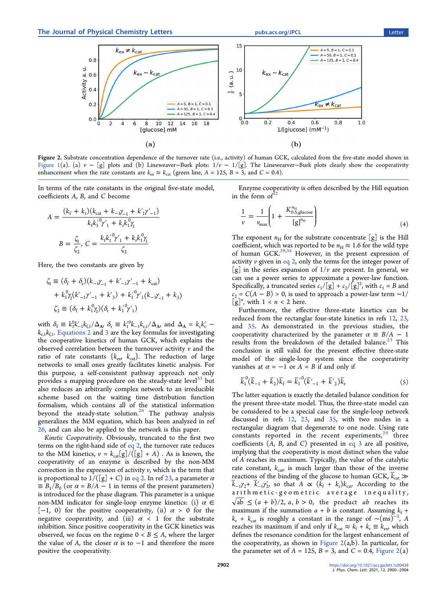

Figure 2. Substrate concentration dependence of the turnover rate (i.e., activity) of human GCK, calculated from the five-state model shown in [Figure 1\(](#page-1-0)a). (a)  $v - [g]$  plots and (b) Lineweaver–Burk plots:  $1/v - 1/[g]$ . The Linewearver–Burk plots clearly show the cooperativity enhancement when the rate constants are  $k_{ex} \approx k_{cat}$  (green line,  $A = 125$ ,  $B = 3$ , and  $C = 0.4$ ).

In terms of the rate constants in the original five-state model, coefficients A, B, and C become

$$
A = \frac{(k_f + k_r)(k_{cat} + k_{-1}\gamma_{-1} + k'_1\gamma'_{-1})}{k_f k'_1 \gamma'_1 + k_r k_1 \gamma_1}
$$

$$
B = \frac{\zeta_1}{\zeta_2}, C = \frac{k_f k'_1 \gamma'_1 + k_r k_1 \gamma_1}{\zeta_2}
$$

Here, the two constants are given by

*A*

$$
\zeta_1 \equiv (\delta_f + \delta_r)(k_{-1}\gamma_{-1} + k'_{-1}\gamma'_{-1} + k_{\text{cat}})
$$
  
+  $k_1^0 \gamma_1 (k'_{-1}\gamma'_{-1} + k'_3) + k_1'^0 \gamma'_1 (k_{-1}\gamma_{-1} + k_3)$   

$$
\zeta_2 \equiv (\delta_f + k_1^0 \gamma)(\delta_r + k'_1'^0 \gamma'_1)
$$

with  $\delta_f \equiv k_1^0 k'_{-1} k_{f,1} / \Delta_{A}$ ,  $\delta_r \equiv k_1^0 k_{-1} k_{r,1} / \Delta_{A}$ , and  $\Delta_A = k_c k_c'$  $k_{r,1}k_{f,1}$ . [Equations 2](#page-1-0) and [3](#page-1-0) are the key formulas for investigating the cooperative kinetics of human GCK, which explains the observed correlation between the turnouver activity  $\nu$  and the ratio of rate constants  $\{k_{\text{ex}}, k_{\text{cat}}\}$ . The reduction of large networks to small ones greatly facilitates kinetic analysis. For this purpose, a self-consistent pathway approach not only provides a mapping procedure on the steady-state level<sup>33</sup> but also reduces an arbitrarily complex network to an irreducible scheme based on the waiting time distribution function formalism, which contains all of the statistical information beyond the steady-state solution.<sup>[26](#page-4-0)</sup> The pathway analysis generalizes the MM equation, which has been analyzed in ref [26](#page-4-0), and can also be applied to the network is this paper.

Kinetic Cooperativity. Obviously, truncated to the first two terms on the right-hand side of [eq 2](#page-1-0), the turnover rate reduces to the MM kinetics,  $v = k_{cat}[g]/([g] + A)$ . As is known, the cooperativity of an enzyme is described by the non-MM correction in the expression of activity  $\nu$ , which is the term that is proportional to  $1/(\lfloor g \rfloor + C)$  in [eq 2](#page-1-0). In ref [23,](#page-4-0) a parameter  $\alpha$  $\equiv B_1/B_0$  (or  $\alpha = B/A - 1$  in terms of the present parameters) is introduced for the phase diagram. This parameter is a unique non-MM indicator for single-loop enzyme kinetics: (i)  $\alpha \in$  $[-1, 0)$  for the positive cooperativity, (ii)  $\alpha > 0$  for the negative cooperativity, and (iii)  $\alpha$  < 1 for the substrate inhibition. Since positive cooperativity in the GCK kinetics was observed, we focus on the regime  $0 < B \leq A$ , where the larger the value of A, the closer  $\alpha$  is to  $-1$  and therefore the more positive the cooperativity.

Enzyme cooperativity is often described by the Hill equation in the form of

$$
\frac{1}{\nu} = \frac{1}{\nu_{\text{max}}} \left( 1 + \frac{K_{0.5, \text{glucose}}^{n_{\text{H}}}}{\left[g\right]^{n_{\text{H}}}} \right) \tag{4}
$$

The exponent  $n_H$  for the substrate concentrate [g] is the Hill coefficient, which was reported to be  $n_H \approx 1.6$  for the wild type of human GCK.<sup>[29](#page-4-0),[34](#page-4-0)</sup> However, in the present expression of activity  $\nu$  given in [eq 2,](#page-1-0) only the terms for the integer power of [g] in the series expansion of  $1/v$  are present. In general, we can use a power series to approximate a power-law function. Specifically, a truncated series  $c_1/[\mathbf{g}] + c_2/[\mathbf{g}]^2$ , with  $c_1 = B$  and  $c_2 = C(A - B) > 0$ , is used to approach a power-law term ~1/  $[g]^n$ , with  $1 < n < 2$  here.

Furthermore, the effective three-state kinetics can be reduced from the rectanglar four-state kinetics in refs [12](#page-4-0), [23](#page-4-0), and [35.](#page-4-0) As demonstrated in the previous studies, the cooperativity characterized by the parameter  $\alpha \equiv B/A - 1$ results from the breakdown of the detailed balance.<sup>23</sup> This conclusion is still valid for the present effective three-state model of the single-loop system since the cooperativity vanishes at  $\alpha = -1$  or  $A = B$  if and only if

$$
\overline{k}_{1}^{0}(\overline{k}_{-1} + \overline{k}_{2})\overline{k}_{f} = \overline{k}_{1}^{'0}(\overline{k}_{-1}^{\prime} + \overline{k}_{2}^{\prime})\overline{k}_{r}
$$
\n(5)

The latter equation is exactly the detailed balance condition for the present three-state model. Thus, the three-state model can be considered to be a special case for the single-loop network discussed in refs [12,](#page-4-0) [23,](#page-4-0) and [35,](#page-4-0) with two nodes in a rectangular diagram that degenerate to one node. Using rate constants reported in the recent experiments, $29$  three coefficients (A, B, and C) presented in [eq 3](#page-1-0) are all positive, implying that the cooperativity is most distinct when the value of A reaches its maximum. Typically, the value of the catalytic rate constant,  $k_{\text{cat}}$  is much larger than those of the inverse reactions of the binding of the glucose to human GCK,  $\bar{k}_{cat} \gg$  $\overline{k}_{-1}\gamma_2$ +  $\overline{k}'_{-1}\gamma'_2$ , so that  $A \propto (k_f + k_r)k_{\text{cat}}$ . According to the arithmetic-geometric average inequality,  $\sqrt{ab} \leq (a + b)/2$ , a,  $b > 0$ , the product ab reaches its maximum if the summation  $a + b$  is constant. Assuming  $k_f +$  $k_r + k_{cat}$  is roughly a constant in the range of  $\sim$ (ms)<sup>-1</sup>, A reaches its maximum if and only if  $k_{cat} \approx k_f + k_r \equiv k_{ex}$ , which defines the resonance condition for the largest enhancement of the cooperativity, as shown in Figure  $2(a,b)$ . In particular, for the parameter set of  $A = 125$ ,  $B = 3$ , and  $C = 0.4$ , Figure 2(a)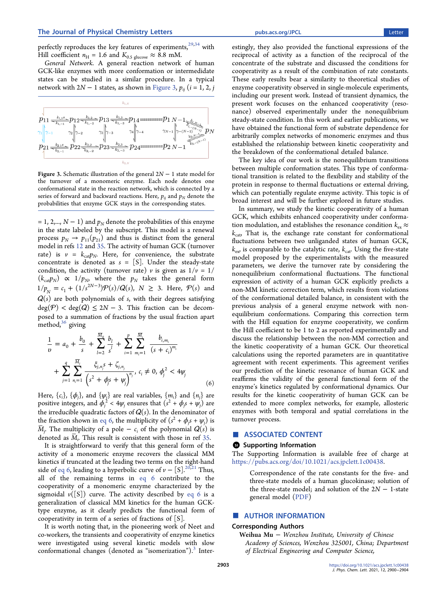<span id="page-3-0"></span>perfectly reproduces the key features of experiments,<sup>[29,34](#page-4-0)</sup> with Hill coefficient  $n_{\rm H}$  = 1.6 and  $K_{0.5 \text{ glucose}} \approx 8.8 \text{ mM.}$ 

General Network. A general reaction network of human GCK-like enzymes with more conformation or intermedidate states can be studied in a similar procedure. In a typical network with  $2N - 1$  states, as shown in Figure 3,  $p_{ii}$  ( $i = 1, 2, j$ 



Figure 3. Schematic illustration of the general 2N − 1 state model for the turnover of a monomeric enzyme. Each node denotes one conformational state in the reaction network, which is connected by a series of forward and backward reactions. Here,  $p_{ii}$  and  $p_N$  denote the probabilities that enzyme GCK stays in the corresponding states.

= 1, 2,...,  $N - 1$ ) and  $p_N$  denote the probabilities of this enzyme in the state labeled by the subscript. This model is a renewal process  $p_N \rightarrow p_{11}(p_{21})$  and thus is distinct from the general model in refs [12](#page-4-0) and [35](#page-4-0). The activity of human GCK (turnover rate) is  $v = k_{\text{cat}} p_N$ . Here, for convenience, the substrate concentrate is denoted as  $s = [S]$ . Under the steady-state condition, the activity (turnover rate) v is given as  $1/v = 1/$  $(k_{\text{cat}}p_N) \propto 1/p_N$ , where the  $p_N$  takes the general form  $1/p_N = c_1 + (1/s^{2N-3})\mathcal{P}(s)/\mathcal{Q}(s)$ ,  $N \geq 3$ . Here,  $\mathcal{P}(s)$  and  $Q(s)$  are both polynomials of s, with their degrees satisfying  $deg(P) < deg(Q) \leq 2N - 3$ . This fraction can be decomposed to a summation of fractions by the usual fraction apart method, $36$  giving

$$
\frac{1}{v} = a_0 + \frac{b_0}{s} + \sum_{l=2}^{\overline{M}_0} \frac{b_l}{s^l} + \sum_{i=1}^p \sum_{m_i=1}^{\overline{M}_i} \frac{b_{i,m_i}}{(s + c_i)^{m_i}} + \sum_{j=1}^q \sum_{n_i=1}^{\overline{M}_j} \frac{\xi_{j,n_j} s + \zeta_{j,n_j}}{(s^2 + \phi_j s + \psi_j)^{n_j}}, \ c_i \neq 0, \ \phi_j^2 < 4\psi_j \tag{6}
$$

Here,  $\{c_i\}$ ,  $\{\phi_j\}$ , and  $\{\psi_j\}$  are real variables,  $\{m_i\}$  and  $\{n_j\}$  are positive integers, and  $\phi_j^2 < 4\psi_j$  ensures that  $(s^2 + \phi_j s + \psi_j)$  are the irreducible quadratic factors of  $Q(s)$ . In the denominator of the fraction shown in eq 6, the multiplicity of  $(s^2 + \phi_j s + \psi_j)$  is  $\bar{M}_j$ . The multiplicity of a pole –  $c_i$  of the polynomial  $Q(s)$  is denoted as  $M_i$ . This result is consistent with those in ref [35](#page-4-0).

It is straightforward to verify that this general form of the activity of a monomeric enzyme recovers the classical MM kinetics if truncated at the leading two terms on the right-hand side of eq 6, leading to a hyperbolic curve of  $v - [S]$ .<sup>[20,21](#page-4-0)</sup> Thus, all of the remaining terms in eq 6 contribute to the cooperativity of a monomeric enzyme characterized by the sigmoidal  $\nu([S])$  curve. The activity described by eq 6 is a generalization of classical MM kinetics for the human GCKtype enzyme, as it clearly predicts the functional form of cooperativity in term of a series of fractions of  $[S]$ .

It is worth noting that, in the pioneering work of Neet and co-workers, the transients and cooperativity of enzyme kinetics were investigated using several kinetic models with slow conformational changes (denoted as "isomerization"). $3$  Inter-

estingly, they also provided the functional expressions of the reciprocal of activity as a function of the reciprocal of the concentrate of the substrate and discussed the conditions for cooperativity as a result of the combination of rate constants. These early results bear a similarity to theoretical studies of enzyme cooperativity observed in single-molecule experiments, including our present work. Instead of transient dynamics, the present work focuses on the enhanced cooperativity (resonance) observed experimentally under the nonequilibrium steady-state condition. In this work and earlier publications, we have obtained the functional form of substrate dependence for arbitrarily complex networks of monomeric enzymes and thus established the relationship between kinetic cooperativity and the breakdown of the conformational detailed balance.

The key idea of our work is the nonequilibrium transitions between multiple conformation states. This type of conformational transition is related to the flexibility and stability of the protein in response to thermal fluctuations or external driving, which can potentially regulate enzyme activity. This topic is of broad interest and will be further explored in future studies.

In summary, we study the kinetic cooperativity of a human GCK, which exhibits enhanced cooperativity under conformation modulation, and establishes the resonance condition  $k_{\scriptscriptstyle{\text{ex}}}\approx$  $k_{\text{cat}}$ . That is, the exchange rate constant for conformational fluctuations between two unliganded states of human GCK,  $k_{\text{ex}}$  is comparable to the catalytic rate,  $k_{\text{cat}}$ . Using the five-state model proposed by the experimentalists with the measured parameters, we derive the turnover rate by considering the nonequilibrium conformational fluctuations. The functional expression of activity of a human GCK explicitly predicts a non-MM kinetic correction term, which results from violations of the conformational detailed balance, in consistent with the previous analysis of a general enzyme network with nonequilibrium conformations. Comparing this correction term with the Hill equation for enzyme cooperativity, we confirm the Hill coefficient to be 1 to 2 as reported experimentally and discuss the relationship between the non-MM correction and the kinetic cooperativity of a human GCK. Our theoretical calculations using the reported parameters are in quantitative agreement with recent experiments. This agreement verifies our prediction of the kinetic resonance of human GCK and reaffirms the validity of the general functional form of the enzyme's kinetics regulated by conformational dynamics. Our results for the kinetic cooperativity of human GCK can be extended to more complex networks, for example, allosteric enzymes with both temporal and spatial correlations in the turnover process.

#### ■ ASSOCIATED CONTENT

#### **<sup>6</sup>** Supporting Information

The Supporting Information is available free of charge at [https://pubs.acs.org/doi/10.1021/acs.jpclett.1c00438](https://pubs.acs.org/doi/10.1021/acs.jpclett.1c00438?goto=supporting-info).

Correspondence of the rate constants for the five- and three-state models of a human glucokinase; solution of the three-state model; and solution of the  $2N - 1$ -state general model ([PDF](http://pubs.acs.org/doi/suppl/10.1021/acs.jpclett.1c00438/suppl_file/jz1c00438_si_001.pdf))

#### ■ AUTHOR INFORMATION

#### Corresponding Authors

Weihua Mu <sup>−</sup> Wenzhou Institute, University of Chinese Academy of Sciences, Wenzhou 325001, China; Department of Electrical Engineering and Computer Science,